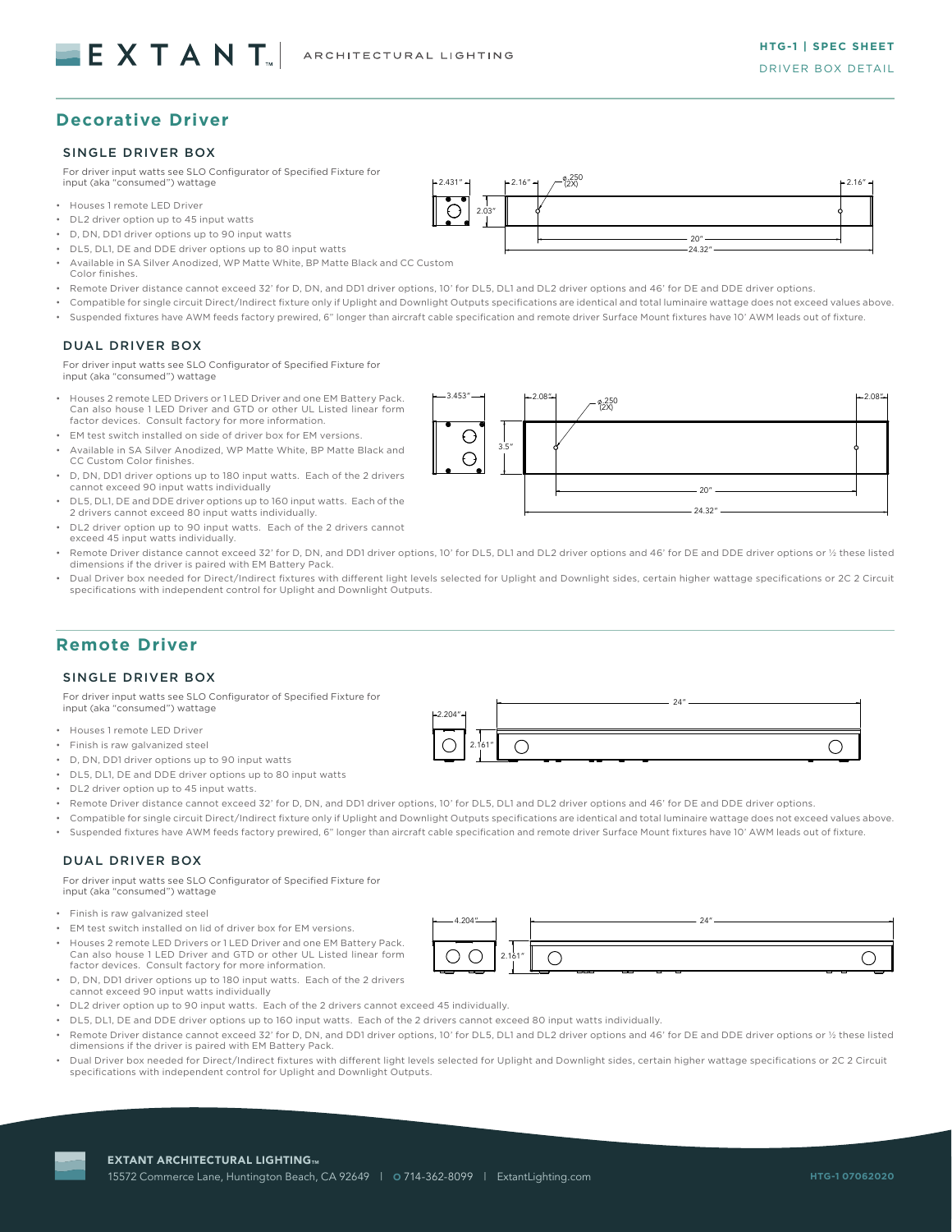# **Decorative Driver**

## SINGLE DRIVER BOX

For driver input watts see SLO Configurator of Specified Fixture for input (aka "consumed") wattage

- Houses 1 remote LED Driver
- DL2 driver option up to 45 input watts
- D, DN, DD1 driver options up to 90 input watts
- DL5, DL1, DE and DDE driver options up to 80 input watts
- Available in SA Silver Anodized, WP Matte White, BP Matte Black and CC Custom Color finishes.
- Remote Driver distance cannot exceed 32' for D, DN, and DD1 driver options, 10' for DL5, DL1 and DL2 driver options and 46' for DE and DDE driver options.
- Compatible for single circuit Direct/Indirect fixture only if Uplight and Downlight Outputs specifications are identical and total luminaire wattage does not exceed values above.

2.03"

2.03"

• Suspended fixtures have AWM feeds factory prewired, 6" longer than aircraft cable specification and remote driver Surface Mount fixtures have 10' AWM leads out of fixture.

#### DUAL DRIVER BOX

For driver input watts see SLO Configurator of Specified Fixture for input (aka "consumed") wattage

- Houses 2 remote LED Drivers or 1 LED Driver and one EM Battery Pack. Can also house 1 LED Driver and GTD or other UL Listed linear form factor devices. Consult factory for more information.
- EM test switch installed on side of driver box for EM versions.
- Available in SA Silver Anodized, WP Matte White, BP Matte Black and CC Custom Color finishes.
- D, DN, DD1 driver options up to 180 input watts. Each of the 2 drivers cannot exceed 90 input watts individually
- DL5, DL1, DE and DDE driver options up to 160 input watts. Each of the 2 drivers cannot exceed 80 input watts individually.
- DL2 driver option up to 90 input watts. Each of the 2 drivers cannot exceed 45 input watts individually.
- Remote Driver distance cannot exceed 32' for D, DN, and DD1 driver options, 10' for DL5, DL1 and DL2 driver options and 46' for DE and DDE driver options or ½ these listed dimensions if the driver is paired with EM Battery Pack.
- Dual Driver box needed for Direct/Indirect fixtures with different light levels selected for Uplight and Downlight sides, certain higher wattage specifications or 2C 2 Circuit specifications with independent control for Uplight and Downlight Outputs.

# **Remote Driver**

#### SINGLE DRIVER BOX

For driver input watts see SLO Configurator of Specified Fixture for input (aka "consumed") wattage

- Houses 1 remote LED Driver
- Finish is raw galvanized steel
- D, DN, DD1 driver options up to 90 input watts
- DL5, DL1, DE and DDE driver options up to 80 input watts
- DL2 driver option up to 45 input watts.
- Remote Driver distance cannot exceed 32' for D, DN, and DD1 driver options, 10' for DL5, DL1 and DL2 driver options and 46' for DE and DDE driver options.

 $\bigcap$ 

 $\sim$ 

2.204"

2.204"

• Compatible for single circuit Direct/Indirect fixture only if Uplight and Downlight Outputs specifications are identical and total luminaire wattage does not exceed values above.

2.161"

2.161"

• Suspended fixtures have AWM feeds factory prewired, 6" longer than aircraft cable specification and remote driver Surface Mount fixtures have 10' AWM leads out of fixture.

# DUAL DRIVER BOX

For driver input watts see SLO Configurator of Specified Fixture for input (aka "consumed") wattage

- Finish is raw galvanized steel
- EM test switch installed on lid of driver box for EM versions.
- Houses 2 remote LED Drivers or 1 LED Driver and one EM Battery Pack. Can also house 1 LED Driver and GTD or other UL Listed linear form factor devices. Consult factory for more information.
- D, DN, DD1 driver options up to 180 input watts. Each of the 2 drivers cannot exceed 90 input watts individually
- DL2 driver option up to 90 input watts. Each of the 2 drivers cannot exceed 45 individually.
- DL5, DL1, DE and DDE driver options up to 160 input watts. Each of the 2 drivers cannot exceed 80 input watts individually.
- Remote Driver distance cannot exceed 32' for D, DN, and DD1 driver options, 10' for DL5, DL1 and DL2 driver options and 46' for DE and DDE driver options or ½ these listed dimensions if the driver is paired with EM Battery Pack.
- Dual Driver box needed for Direct/Indirect fixtures with different light levels selected for Uplight and Downlight sides, certain higher wattage specifications or 2C 2 Circuit specifications with independent control for Uplight and Downlight Outputs.



 $\overline{\phantom{a}}$ 

24"

24"

24"



2.431" 2.16" .250 (2X) 2.16"

 $2.431'' - 2.16'' + 2.16'' + 2.16''$ 

20" 20" 24.32" 24.32"

24.32"

 $\overline{\phantom{a}}$